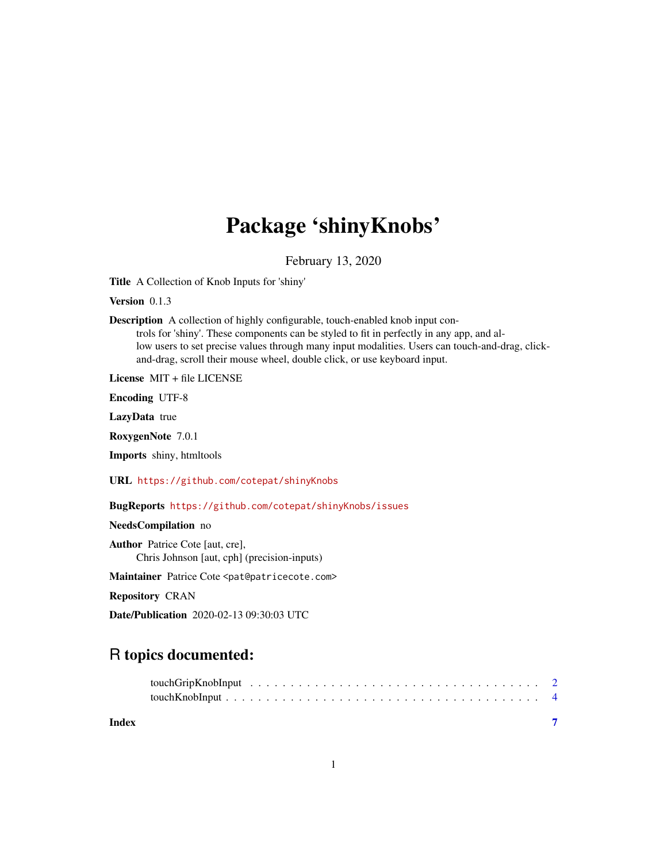## Package 'shinyKnobs'

February 13, 2020

Title A Collection of Knob Inputs for 'shiny'

Version 0.1.3

Description A collection of highly configurable, touch-enabled knob input con-

trols for 'shiny'. These components can be styled to fit in perfectly in any app, and allow users to set precise values through many input modalities. Users can touch-and-drag, clickand-drag, scroll their mouse wheel, double click, or use keyboard input.

License MIT + file LICENSE

Encoding UTF-8

LazyData true

RoxygenNote 7.0.1

Imports shiny, htmltools

URL <https://github.com/cotepat/shinyKnobs>

BugReports <https://github.com/cotepat/shinyKnobs/issues>

NeedsCompilation no

Author Patrice Cote [aut, cre], Chris Johnson [aut, cph] (precision-inputs)

Maintainer Patrice Cote <pat@patricecote.com>

Repository CRAN

Date/Publication 2020-02-13 09:30:03 UTC

### R topics documented:

**Index** [7](#page-6-0) **7**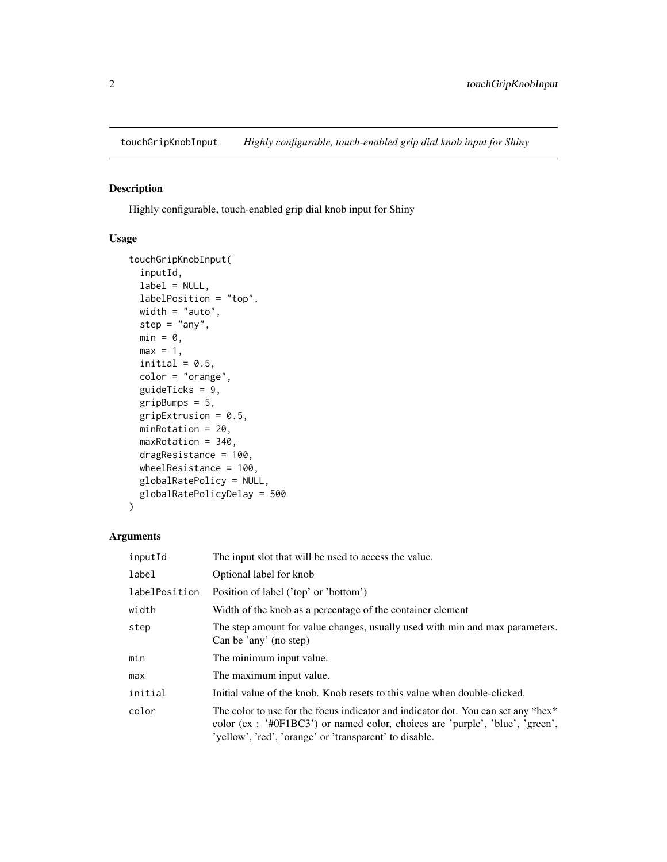<span id="page-1-0"></span>

#### Description

Highly configurable, touch-enabled grip dial knob input for Shiny

#### Usage

```
touchGripKnobInput(
  inputId,
  label = NULL,labelPosition = "top",
 width = "auto",step = "any",
 min = 0,max = 1,
  initial = 0.5,
  color = "orange",
  guideTicks = 9,
 gripBumps = 5,
  gripExtrusion = 0.5,
 minRotation = 20,
 maxRotation = 340,
  dragResistance = 100,
 wheelResistance = 100,
 globalRatePolicy = NULL,
 globalRatePolicyDelay = 500
)
```
#### Arguments

| inputId       | The input slot that will be used to access the value.                                                                                                                                                                           |
|---------------|---------------------------------------------------------------------------------------------------------------------------------------------------------------------------------------------------------------------------------|
| label         | Optional label for knob                                                                                                                                                                                                         |
| labelPosition | Position of label ('top' or 'bottom')                                                                                                                                                                                           |
| width         | Width of the knob as a percentage of the container element                                                                                                                                                                      |
| step          | The step amount for value changes, usually used with min and max parameters.<br>Can be 'any' (no step)                                                                                                                          |
| min           | The minimum input value.                                                                                                                                                                                                        |
| max           | The maximum input value.                                                                                                                                                                                                        |
| initial       | Initial value of the knob. Knob resets to this value when double-clicked.                                                                                                                                                       |
| color         | The color to use for the focus indicator and indicator dot. You can set any *hex*<br>color (ex : $\#0F1BC3'$ ) or named color, choices are 'purple', 'blue', 'green',<br>'yellow', 'red', 'orange' or 'transparent' to disable. |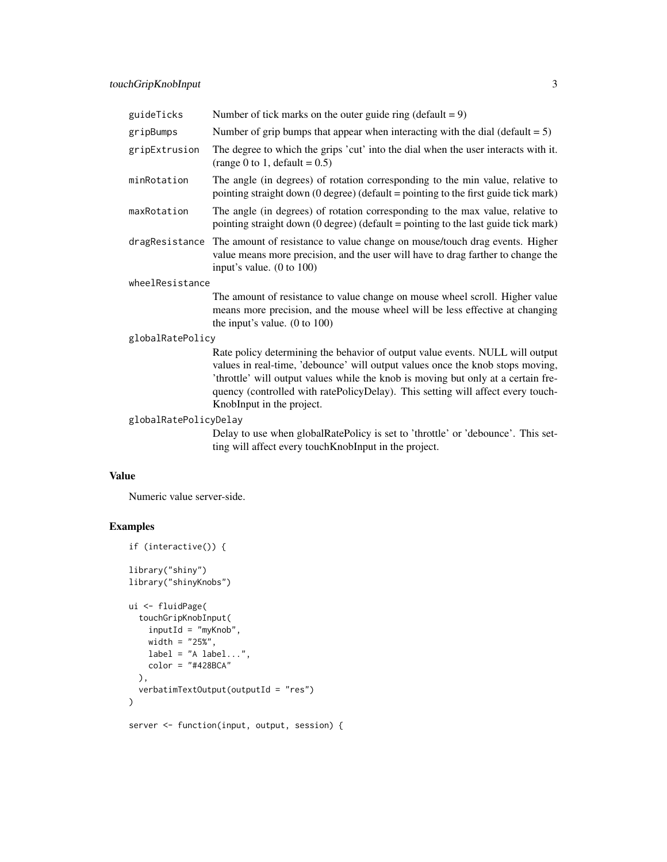| guideTicks            | Number of tick marks on the outer guide ring (default = $9$ )                                                                                                                                                                                                                                                                                                        |  |  |  |  |  |  |
|-----------------------|----------------------------------------------------------------------------------------------------------------------------------------------------------------------------------------------------------------------------------------------------------------------------------------------------------------------------------------------------------------------|--|--|--|--|--|--|
| gripBumps             | Number of grip bumps that appear when interacting with the dial (default $= 5$ )                                                                                                                                                                                                                                                                                     |  |  |  |  |  |  |
| gripExtrusion         | The degree to which the grips 'cut' into the dial when the user interacts with it.<br>(range 0 to 1, default = $0.5$ )                                                                                                                                                                                                                                               |  |  |  |  |  |  |
| minRotation           | The angle (in degrees) of rotation corresponding to the min value, relative to<br>pointing straight down (0 degree) (default = pointing to the first guide tick mark)                                                                                                                                                                                                |  |  |  |  |  |  |
| maxRotation           | The angle (in degrees) of rotation corresponding to the max value, relative to<br>pointing straight down $(0 \text{ degree})$ (default = pointing to the last guide tick mark)                                                                                                                                                                                       |  |  |  |  |  |  |
|                       | dragResistance The amount of resistance to value change on mouse/touch drag events. Higher<br>value means more precision, and the user will have to drag farther to change the<br>input's value. (0 to 100)                                                                                                                                                          |  |  |  |  |  |  |
| wheelResistance       |                                                                                                                                                                                                                                                                                                                                                                      |  |  |  |  |  |  |
|                       | The amount of resistance to value change on mouse wheel scroll. Higher value<br>means more precision, and the mouse wheel will be less effective at changing<br>the input's value. $(0 \text{ to } 100)$                                                                                                                                                             |  |  |  |  |  |  |
| globalRatePolicy      |                                                                                                                                                                                                                                                                                                                                                                      |  |  |  |  |  |  |
|                       | Rate policy determining the behavior of output value events. NULL will output<br>values in real-time, 'debounce' will output values once the knob stops moving,<br>'throttle' will output values while the knob is moving but only at a certain fre-<br>quency (controlled with ratePolicyDelay). This setting will affect every touch-<br>KnobInput in the project. |  |  |  |  |  |  |
| globalRatePolicyDelay |                                                                                                                                                                                                                                                                                                                                                                      |  |  |  |  |  |  |
|                       | Delay to use when globalRatePolicy is set to 'throttle' or 'debounce'. This set-<br>ting will affect every touchKnobInput in the project.                                                                                                                                                                                                                            |  |  |  |  |  |  |

#### Value

Numeric value server-side.

#### Examples

```
if (interactive()) {
library("shiny")
library("shinyKnobs")
ui <- fluidPage(
  touchGripKnobInput(
    inputId = "myKnob",
    width = "25\",
    label = "A label...",color = "#428BCA"
  ),
  verbatimTextOutput(outputId = "res")
\overline{)}server <- function(input, output, session) {
```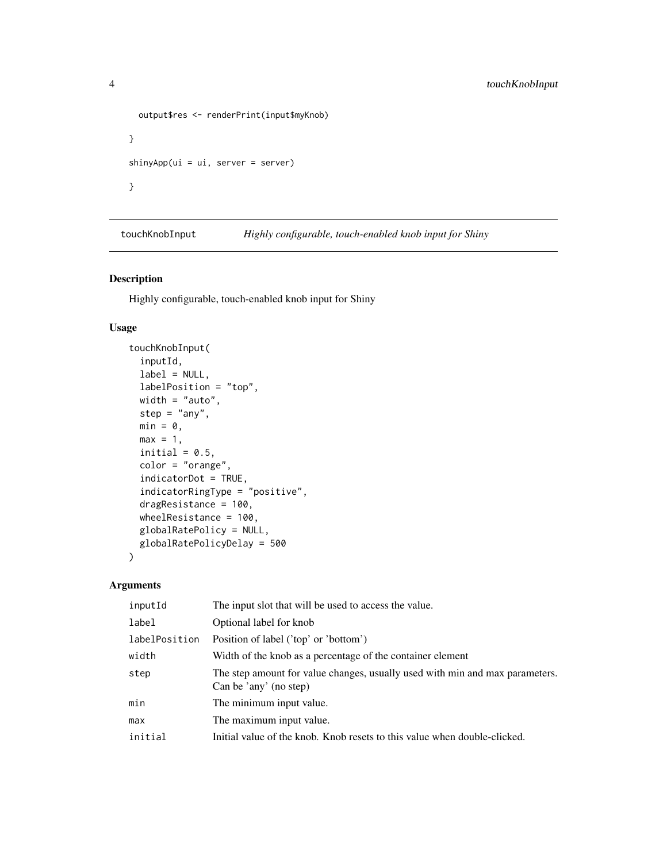```
output$res <- renderPrint(input$myKnob)
}
shinyApp(ui = ui, server = server)
}
```
touchKnobInput *Highly configurable, touch-enabled knob input for Shiny*

#### Description

Highly configurable, touch-enabled knob input for Shiny

#### Usage

```
touchKnobInput(
  inputId,
 label = NULL,labelPosition = "top",
 width = "auto",
 step = "any",
 min = 0,
 max = 1,
 initial = 0.5,
 color = "orange",
  indicatorDot = TRUE,
  indicatorRingType = "positive",
 dragResistance = 100,
 wheelResistance = 100,
 globalRatePolicy = NULL,
 globalRatePolicyDelay = 500
\mathcal{L}
```
#### Arguments

| inputId       | The input slot that will be used to access the value.                                                  |
|---------------|--------------------------------------------------------------------------------------------------------|
| label         | Optional label for knob                                                                                |
| labelPosition | Position of label ('top' or 'bottom')                                                                  |
| width         | Width of the knob as a percentage of the container element                                             |
| step          | The step amount for value changes, usually used with min and max parameters.<br>Can be 'any' (no step) |
| min           | The minimum input value.                                                                               |
| max           | The maximum input value.                                                                               |
| initial       | Initial value of the knob. Knob resets to this value when double-clicked.                              |
|               |                                                                                                        |

<span id="page-3-0"></span>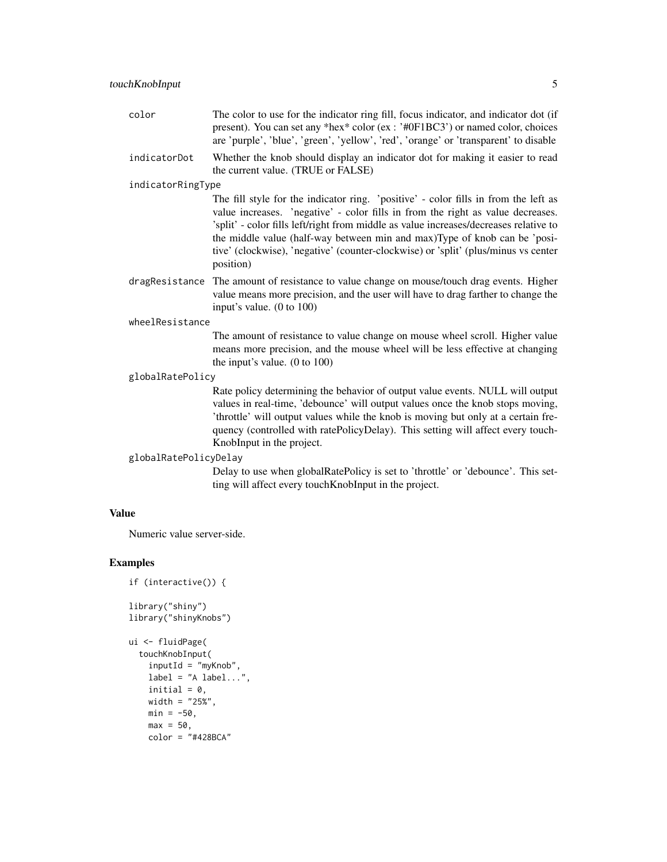| color             | The color to use for the indicator ring fill, focus indicator, and indicator dot (if<br>present). You can set any *hex* color (ex: '#0F1BC3') or named color, choices<br>are 'purple', 'blue', 'green', 'yellow', 'red', 'orange' or 'transparent' to disable                                                                                                                                                                                   |
|-------------------|-------------------------------------------------------------------------------------------------------------------------------------------------------------------------------------------------------------------------------------------------------------------------------------------------------------------------------------------------------------------------------------------------------------------------------------------------|
| indicatorDot      | Whether the knob should display an indicator dot for making it easier to read<br>the current value. (TRUE or FALSE)                                                                                                                                                                                                                                                                                                                             |
| indicatorRingType |                                                                                                                                                                                                                                                                                                                                                                                                                                                 |
|                   | The fill style for the indicator ring. 'positive' - color fills in from the left as<br>value increases. 'negative' - color fills in from the right as value decreases.<br>'split' - color fills left/right from middle as value increases/decreases relative to<br>the middle value (half-way between min and max)Type of knob can be 'posi-<br>tive' (clockwise), 'negative' (counter-clockwise) or 'split' (plus/minus vs center<br>position) |
|                   | dragResistance The amount of resistance to value change on mouse/touch drag events. Higher<br>volve means more pregister, and the user will have to drea ferther to change the                                                                                                                                                                                                                                                                  |

value means more precision, and the user will have to drag farther to change the input's value. (0 to 100)

#### wheelResistance

The amount of resistance to value change on mouse wheel scroll. Higher value means more precision, and the mouse wheel will be less effective at changing the input's value. (0 to 100)

#### globalRatePolicy

Rate policy determining the behavior of output value events. NULL will output values in real-time, 'debounce' will output values once the knob stops moving, 'throttle' will output values while the knob is moving but only at a certain frequency (controlled with ratePolicyDelay). This setting will affect every touch-KnobInput in the project.

#### globalRatePolicyDelay

Delay to use when globalRatePolicy is set to 'throttle' or 'debounce'. This setting will affect every touchKnobInput in the project.

#### Value

Numeric value server-side.

#### Examples

```
if (interactive()) {
```
library("shiny") library("shinyKnobs")

```
ui <- fluidPage(
 touchKnobInput(
   inputId = "myKnob",
   label = "A label...",initial = 0,
   width = "25%",
   min = -50,
   max = 50,
   color = "#428BCA"
```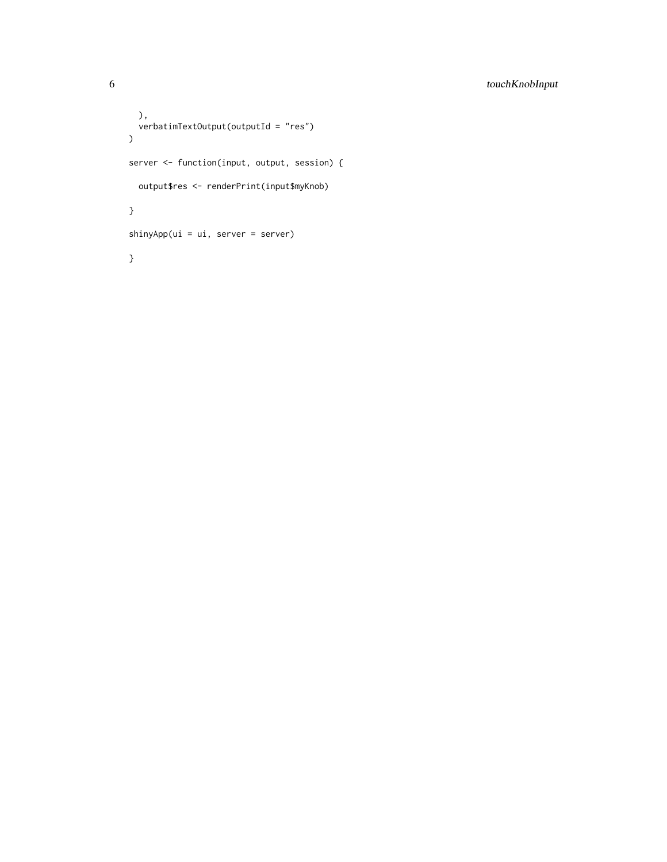```
),
  verbatimTextOutput(outputId = "res")
\lambdaserver <- function(input, output, session) {
 output$res <- renderPrint(input$myKnob)
}
shinyApp(ui = ui, server = server)
}
```